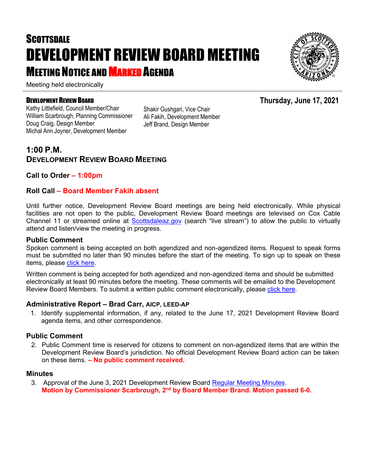# **SCOTTSDALE** DEVELOPMENT REVIEW BOARD MEETING **MEETING NOTICE AND MARKED AGENDA**

Meeting held electronically

#### DEVELOPMENT REVIEW BOARD

Kathy Littlefield, Council Member/Chair William Scarbrough, Planning Commissioner Doug Craig, Design Member Michal Ann Joyner, Development Member

Shakir Gushgari, Vice Chair Ali Fakih, Development Member Jeff Brand, Design Member

### **1:00 P.M. DEVELOPMENT REVIEW BOARD MEETING**

#### **Call to Order – 1:00pm**

#### **Roll Call – Board Member Fakih absent**

Until further notice, Development Review Board meetings are being held electronically. While physical facilities are not open to the public, Development Review Board meetings are televised on Cox Cable Channel 11 or streamed online at [Scottsdaleaz.gov](https://www.scottsdaleaz.gov/) (search "live stream") to allow the public to virtually attend and listen/view the meeting in progress.

#### **Public Comment**

Spoken comment is being accepted on both agendized and non-agendized items. Request to speak forms must be submitted no later than 90 minutes before the start of the meeting. To sign up to speak on these items, please [click here.](https://www.scottsdaleaz.gov/boards/development-review-board/spoken-comment)

Written comment is being accepted for both agendized and non-agendized items and should be submitted electronically at least 90 minutes before the meeting. These comments will be emailed to the Development Review Board Members. To submit a written public comment electronically, please [click here.](https://www.scottsdaleaz.gov/boards/development-review-board/public-comment)

#### **Administrative Report – Brad Carr, AICP, LEED-AP**

1. Identify supplemental information, if any, related to the June 17, 2021 Development Review Board agenda items, and other correspondence.

#### **Public Comment**

2. Public Comment time is reserved for citizens to comment on non-agendized items that are within the Development Review Board's jurisdiction. No official Development Review Board action can be taken on these items. **– No public comment received.**

#### **Minutes**

3. Approval of the June 3, 2021 Development Review Board [Regular Meeting Minutes.](https://eservices.scottsdaleaz.gov/planning/projectsummary/unrelated_documents/DRB_MEETING_MINUTES_06032021.pdf) **Motion by Commissioner Scarbrough, 2nd by Board Member Brand. Motion passed 6-0.**



**Thursday, June 17, 2021**